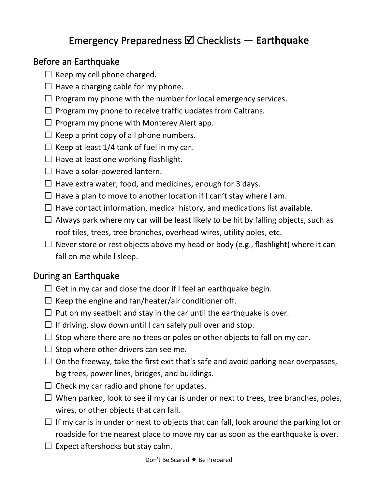## Emergency Preparedness Checklists — **Earthquake**

## Before an Earthquake

- $\Box$  Keep my cell phone charged.
- $\Box$  Have a charging cable for my phone.
- $\Box$  Program my phone with the number for local emergency services.
- $\Box$  Program my phone to receive traffic updates from Caltrans.
- $\Box$  Program my phone with Monterey Alert app.
- $\Box$  Keep a print copy of all phone numbers.
- $\Box$  Keep at least 1/4 tank of fuel in my car.
- $\Box$  Have at least one working flashlight.
- $\Box$  Have a solar-powered lantern.
- $\Box$  Have extra water, food, and medicines, enough for 3 days.
- $\Box$  Have a plan to move to another location if I can't stay where I am.
- $\Box$  Have contact information, medical history, and medications list available.
- $\Box$  Always park where my car will be least likely to be hit by falling objects, such as roof tiles, trees, tree branches, overhead wires, utility poles, etc.
- $\Box$  Never store or rest objects above my head or body (e.g., flashlight) where it can fall on me while l sleep.

## During an Earthquake

- $\Box$  Get in my car and close the door if I feel an earthquake begin.
- $\Box$  Keep the engine and fan/heater/air conditioner off.
- $\Box$  Put on my seatbelt and stay in the car until the earthquake is over.
- $\Box$  If driving, slow down until I can safely pull over and stop.
- $\Box$  Stop where there are no trees or poles or other objects to fall on my car.
- $\Box$  Stop where other drivers can see me.
- $\Box$  On the freeway, take the first exit that's safe and avoid parking near overpasses, big trees, power lines, bridges, and buildings.
- $\Box$  Check my car radio and phone for updates.
- $\Box$  When parked, look to see if my car is under or next to trees, tree branches, poles, wires, or other objects that can fall.
- $\Box$  If my car is in under or next to objects that can fall, look around the parking lot or roadside for the nearest place to move my car as soon as the earthquake is over.
- $\Box$  Expect aftershocks but stay calm.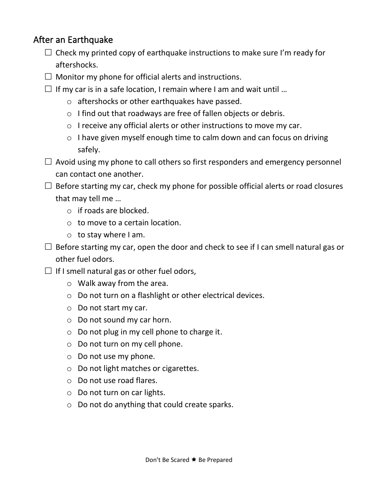## After an Earthquake

- $\Box$  Check my printed copy of earthquake instructions to make sure I'm ready for aftershocks.
- $\Box$  Monitor my phone for official alerts and instructions.
- $\Box$  If my car is in a safe location, I remain where I am and wait until ...
	- o aftershocks or other earthquakes have passed.
	- o I find out that roadways are free of fallen objects or debris.
	- o I receive any official alerts or other instructions to move my car.
	- o I have given myself enough time to calm down and can focus on driving safely.
- $\Box$  Avoid using my phone to call others so first responders and emergency personnel can contact one another.
- $\Box$  Before starting my car, check my phone for possible official alerts or road closures that may tell me …
	- o if roads are blocked.
	- $\circ$  to move to a certain location.
	- $\circ$  to stay where I am.
- $\Box$  Before starting my car, open the door and check to see if I can smell natural gas or other fuel odors.
- $\Box$  If I smell natural gas or other fuel odors,
	- o Walk away from the area.
	- o Do not turn on a flashlight or other electrical devices.
	- o Do not start my car.
	- o Do not sound my car horn.
	- o Do not plug in my cell phone to charge it.
	- o Do not turn on my cell phone.
	- o Do not use my phone.
	- o Do not light matches or cigarettes.
	- o Do not use road flares.
	- o Do not turn on car lights.
	- o Do not do anything that could create sparks.